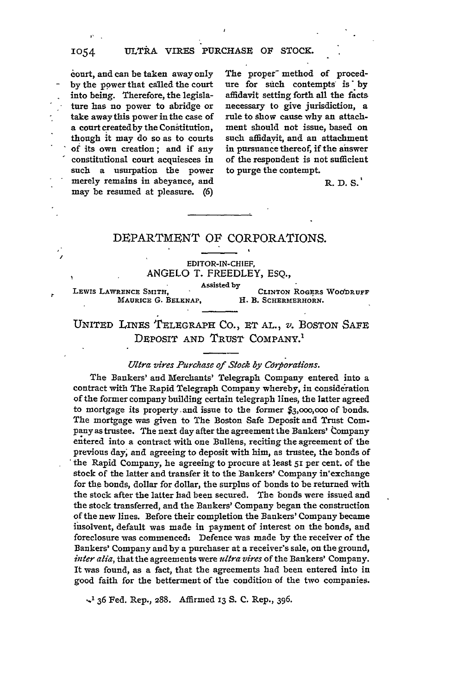## 1054 **ULTRA** VIRES **PURCHASE** OF **STOCK.**

court, and can be taken away only **by** the ppwer that called the court into being. Therefore, the legislature has no power to abridge or take away this power in the case of a court createdby the Constitution, though it may do so as to courts of its own creation; and if any - constitutional court acquiesces in such a usurpation the power merely remains in abeyance, and may be resumed at pleasure. **(6)**

The proper method of procedure for such contempts is' by affidavit setting forth all the facts necessary to give jurisdiction, a rule to show cause why an attachment should not issue, based on such affidavit, and an attachment in pursuance thereof, if the answer of the respondent is not sufficient to purge the contempt.

R. **D. S.'**

## DEPARTMENT OF CORPORATIONS.

## **EDITOR-IN-CHIEF. ANGELO** T. FREEDLEY, **ESQ.,**

Assisted **by** LEWIS LAWRENCE SMITH, **CLINTON** ROGERS WOO(DRUFF **MAURICE G. BELKNAP,** H. B. **SCHERMERHORN.**

UNITED LINES TELEGRAPH **Co.,** ET **AL.,** *V.* **BOSTON** SAFE DEPOSIT AND TRUST COMPANY.<sup>1</sup>

## *Ultra vires Purchase of Stock by Corporations.*

The Bankers' and Merchants' Telegraph Company entered into a contract with The Rapid Telegraph Company whereby, in consideration of the former company building certain telegraph lines, the latter agreed to mortgage its property and issue to the former **\$3,000,000** of bonds. The mortgage was given to The Boston Safe Deposit and Trust Company as trustee. The next day after the agreement the Bankers' company entered into a contract with one Bullens, reciting the agreement of the previous day, and agreeing to deposit with him, as trustee, the bonds of ' the Rapid Company, he agreeing to procure at least **51** per cent. of the stock of the latter and transfer it to the Bankers' Company in'exchange for the bonds, dollar for dollar, the surplus of bonds to be returned with the stock after the latter had been secured. The bonds were issued and the stock transferred, and the Bankers' Company began the construction of the new lines. Before their completion the Bankers' Company became insolvent, default was made in payment of interest on the bonds, and foreclosure was commenced- Defence was made **by** the receiver of the Bankers' Company and by a purchaser at a receiver's sale, on the ground, *inter alia,* that the agreements were *ultra vires* of the Bankers' Company. It was found, as a fact, that the agreements **had** been entered into in good faith for the betterment of the condition of the two companies.

**.,'** 36 Fed. Rep., 288. Affirmed 13 S. C. Rep., 396.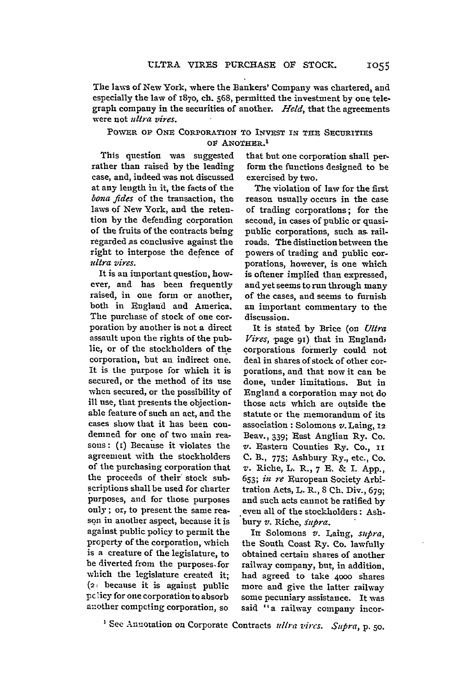The laws of New York, where the Bankers' Company was chartered, and especially the law **of** 187o, ch. 568, permitted the investment **by** one telegraph company in the securities of another. *Held,* that the agreements were not *ultra vires.*

# POWER OF ONE CORPORATION TO INVEST IN THE SECURITIES OF ANOTHER.<sup>1</sup>

This question was suggested rather than raised by the leading case, and, indeed was not discussed at any length in it, the facts of the *bona /ides* of the transaction, the laws of New York, and the retention **by** the defending corporation of the fruits of the contracts being regarded as conclusive against the right to interpose the defence of *ultra vires.*

It is an important question, however, and has been frequently raised, in one form or another, both in England and America. The purchase of stock of one corporation by another is not a direct assault upon the rights of the publie, or of the stockholders of the corporation, but an indirect one. It is the purpose for which it is secured, or the method of its use when secured, or the possibility of ill use, that presents the objectionable feature of such an act, and the cases show that it has been condenined for one of two main reasons: (1) Because it violates the agreement with the stockholders of the purchasing corporation that the proceeds of their' stock subscriptions shall be used for charter purposes, and for those purposes only; or, to present the same reason in another aspect, because it is against public policy to permit the property of the corporation, which is a creature of the legislature, to be diverted from the purposes.for which the legislature created it; **(2,** because it is against public pc ticy for one corporation to absorb another competing corporation, so

that but one corporation shall perform the functions designed to be exercised by two.

The violation of law for the first reason usually occurs in the case of trading corporations; for the second, in cases of public or quasipublic corporations, such as railroads. The distinction between the powers of trading and public corporations, however, is one which is oftener implied than expressed, and yet seems to run through many of the cases, and seems to furnish an important commentary to the discussion.

It is stated by Brice (on *Ultra Vires,* page 91) that in England, corporations formerly could not deal in shares of stock of other corporations, and that now it can be done, under limitations. But in England a corporation may not do those acts which are outside the statute or the memorandum of its association: Solomons v. Laing, **<sup>12</sup>** Beav., **339;** East Anglian Ry. Co. v. Eastern Counties **Ry.** Co., ii C. B., **775;** Ashbury Ry., etc., Co. *v.* Riche, L. R., 7 E. & **1.** App., **653;** *in re* European Society Arbitration Acts, *L.* R., **8** Ch. Div., **679;** and such acts cannot be ratified by even all of the stockholders: Ashbury *v*. Riche, *supra*.

In Solomons *v.* Laing, *supra*, the South Coast Ry. Co. lawfully obtained certain shares of another railway company, but, in addition, had agreed to take **4000** shares more and give the latter railway some pecuniary assistance. It was said "a railway company incor-

<sup>1</sup> See Annotation on Corporate Contracts *ultra vires. Supra*, p. 50.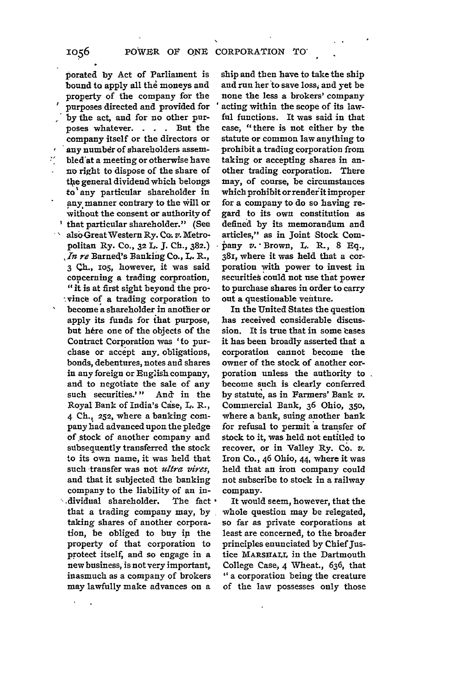porated **by** Act of Parliament is bound to apply all the moneys and property of the company for the purposes directed and provided for **by** the act, and for no other purposes whatever. . **. .** But the company itself or the directors or any number of shareholders assembled at a meeting or otherwise have no right to dispose of the share of the general dividend which belongs to' any particular shareholder in **any,** manner contrary to the vill or without the consent or authority of that particular shareholder." (See alsoGreatWestern Ry. **Co;** *v.* Metropolitan Ry. **Co., 32** L. **J. Ch., 382.)** *,In re* Barned's Banking Co., L. R., **3 Ch.,** *lO5,* however, it was said concerning a trading corproation, **"it** is at first sight beyond the pro- -:vince of a trading corporation to become a shareholder in another or apply its funds for that purpose, but here one of the objects of the Contract Corporation was 'to purchase or accept any, obligations, bonds, debentures, notes and shares in any foreign or English company, and to negotiate the sale of any such securities.'" And in the Royal Bank of India's Case, L. R., 4 **Ch., 252,** where a banking company had advanced upon the pledge of stock of another company and subsequently transferred the stock to its own name, it was held that such -transfer was not *ultra vires,* and that it subjected the banking company to the liability of an in- .dividual shareholder. The fact that a trading company may, **by** taking shares of another corporation, be obliged to buy **in** the property of that corporation to protect itself, and so engage in a new business, is not very important, inasmuch as a company of brokers may lawfully make advances on a

ship and then have to take the ship and run her to save loss, and yet be none the less a brokers' company acting within the scope of its lawful functions. It was said in that case, "there is not either by the statute or common law anything to prohibit a trading corporation from taking or accepting shares in another trading corporation. There may, of course, be circumstances which prohibit or render it improper for a company to do so having regard to its own constitution as defined **by** its memorandum and articles," as in Joint Stock Com*bany v.* Brown, L. R., 8 **Eq.,** 381, where it was held that a corporation with power to invest in securitie§ could not use that power to purchase shares in order to carry out a questionable venture.

In the United States the question has received considerable discussion. It is true that in some cases it has been broadly asserted that a corporation cannot become the owner of the stock of another corporation unless the authority to become such is learly conferred **by** statute, as in Farmers' Bank v. Commercial Bank, 36 Ohio, **350,** where a bank, suing another bank for refusal to permit a transfer of stock to it, was held not entitled to recover, or in Valley Ry. **Co. v.** Iron Co., 46 Ohio, 44, where it was held that an iron company could not subscribe to stock in a railway company.

It would seem, however, that the whole question may be relegated, so far as private corporations at least are concerned, to the broader principles enunciated **by** Chief Justice MARSHALr, in the Dartmouth College Case, 4 Wheat., 636, that **"a** corporation being the creature of the law possesses only those

io56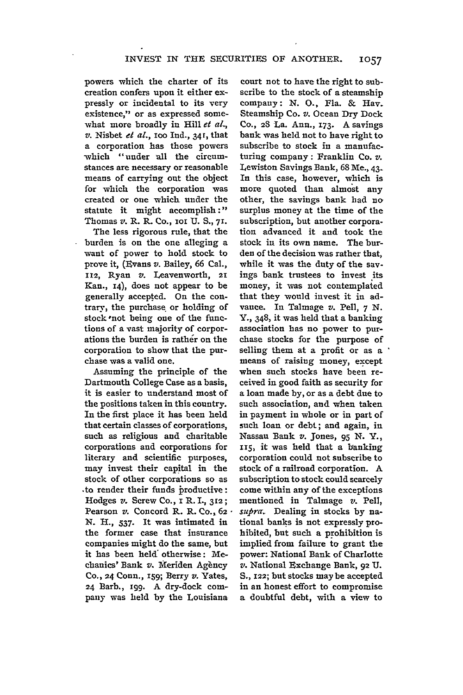powers which the charter of its creation confers upon it either expressly or incidental to its very existence," or as expressed somewhat more broadly in Hill et al., *v.* Nisbet el *at.,* ioo Ind., 34r, that a corporation has those powers -which "under all the circumstances are necessary or reasonable means of carrying out the object for which the corporation was created or one which under the statute it might accomplish :" Thomas v. R. R. Co., 101 U. S., 71.

The less rigorous rule, that the burden is on the one alleging a want of power to hold stock to prove it, (Evans v. Bailey, 66 Cal., **112,** Ryan **V.** Leavenworth, 21 Kan., **14),** does not appear to be generally accepted. On the contrarv, the purchase or holding of stock 'not being one of the functions of a vast majority of corporations the burden is rather on the corporation to show that the purchase was a valid one.

Assuming the principle of the Dartmouth College Case as a basis, it is easier to understand most of the positions taken in this country. In the first place it has been held that certain classes of corporations, such as religious and charitable corporations and corporations for literary and scientific purposes, may invest their capital in the stock of other corporations so as -to render their funds productive: Hodges *v.* Screw Co., i R. I., **312;** Pearson *v.* Concord R. R. Co., **62** N. H., 537. It was intimated in the former case that insurance companies might do the same, but it has been held: otherwise: Mechanics' Bank v. Meriden Agèncy **Co.,** 24 Conn., **i59;** Berry *v.* Yates, 24 Barb., **199. A** dry-dock company was held **by** the Louisiana

court not to have the right to subscribe to the stock of a steamship company: N. **0.,** Fla. **&** Hay. Steamship Co. v. Ocean Dry Dock Co., 28 La. Ann., 173. A savings bank was held not to have right to subscribe to stock in a manufacturing company: Franklin Co. *v.* Lewiston Savings Bank, **68** Me., 43. In this case, however, which is more quoted than almost any other, the savings bank had no surplus money at the time of the subscription, but another corporation advanced it and took the stock in its own name. The burden of the decision was rather that, while it was the duty of the savings bank trustees to invest its money, it was not contemplated that they would invest it in advance. In Talmage *v.* Pell, 7 N. Y., 348, it was held that a banking association has no power to purchase stocks for the purpose of selling them at a profit or as a means of raising money, except when such stocks have been received in good faith as security for a loan made by, or as a debt due to such association, and when taken in payment in whole or in part of such loan or debt; and again, in Nassau Bank *v.* Jones, 95 **N.** Y., **115,** it was held that a banking corporation could not subscribe to stock of a railroad corporation. A subscription to stock could scarcely come within any of the exceptions mentioned in Talmage *v.* Pell, *supra.* Dealing in stocks **by** national banks is not expressly prohibited, but such a prohibition is implied from failure to grant the power: National Bank of Charlotte *v.* National Exchange Bank, **92 U.** *S.,* **122;** but stocks may be accepted in an honest effort to compromise a doubtful debt, with a view to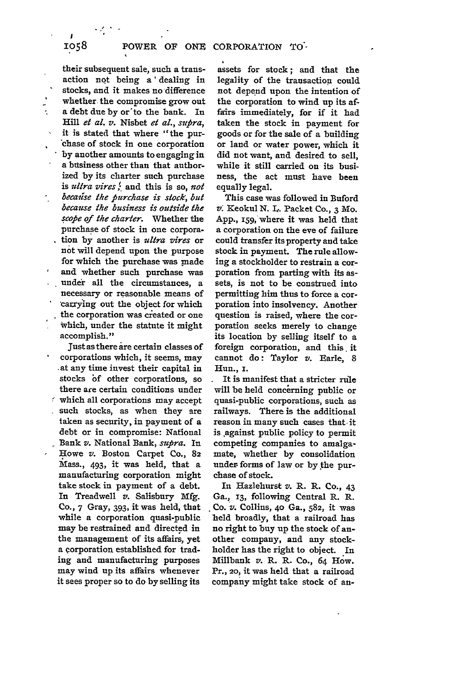their subsequent sale, such a transaction not being a'dealing in stocks, and it makes no-difference whether. the compromise grow out a debt due **by** or'to the bank. In Hill *et al. v.* Nisbet *et al., supra*, it is stated that where "the pur- 'chase of stock in one corporation by another amounts to engaging in a business other than that authorized **by** its charter such purchase is *ultra vires ,* and this is so, *not becaise the purchase is stock; but because the business is outside the scope of the charter.* Whether the purchase of stock in one corporation by another is *ultra vires* or not will depend upon the purpose for which the purchase was made and whether such purchase was under all the circumstances, a necessary or reasonable means of carrying out the object for which

the corporation was created or one Which, under the statute it might accomplish."

Just as there are certain classes of corporations which, it seems, may **.**at any time invest their capital in stocks **bf** other corporations, so there are certain conditions under - which all corporations may accept such stocks, as when they are taken as security, in payment of a debt or in compromise: National - Bank v. National Bank, *supra.* In Howe v. Boston Carpet Co., **82** Mass., 493, it was held, that a manufacturing corporation might take stock in payment of a debt. In Treadwell v. Salisbury Mfg. Co., 7 Gray, 393, it was held, that while a corporation quasi-public may be restrained and directed in the management of its affairs, yet a corporation established for trading and manufacturing purposes may wind up its affairs whenever it sees proper so to do by selling its

assets for stock; and that the legality of the transaction could not depend upon the intention of the corporation to wind up its affairs immediately, for if it had taken the stock in payment for goods or for the sale of a building or land or water power, which it did not want, and desired to sell, while it still carried on its business, the act must have been equally legal.

This case was followed in Buford *v* Keokul N. L. Packet **Co.,** 3 Mo. **App., 159,** where it was held that a corporation on the eve of failure could transfer its property and take stock in payment. The rule allowing a stockholder to restrain a corporation from parting with its assets, is not to be construed into permitting him thus to force a corporation into insolvency. Another question is raised, where the corporation seeks merely to change its location by selling itself to a foreign corporation, and this it cannot do: Taylor v. Earle, 8 Hun., I.

It is manifest that a stricter rule will be held concerning public or quasi-public corporations, such as railways. There is the additional reason in many such cases that. it is .against public policy to permit competing companies to amalgamate, whether by consolidation under forms of law or by the purchase of stock.

In Hazlehurst v. R. R. **Co.,** 43 Ga., **13,** following Central R. R. Co. v. Collins, 4o Ga., 582, it was held broadly, that a railroad has no right to buy up the stock of another company, and any stockholder has the right to object. In Millbank v. R. R. Co., 64 How. Pr., **20,** it was held that a railroad company might take stock of an-

 $\cdot$ 1058

 $\ddot{\cdot}$